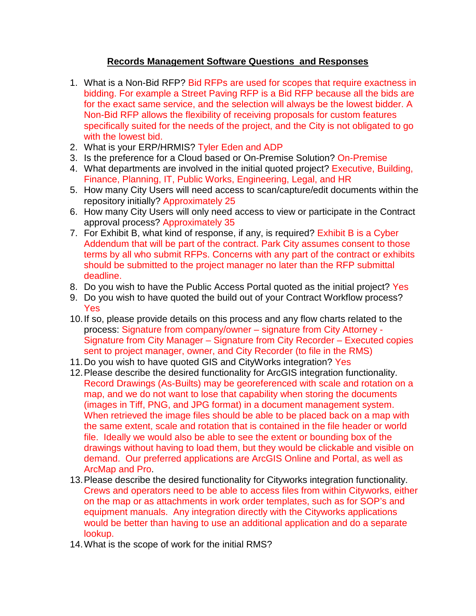## **Records Management Software Questions and Responses**

- 1. What is a Non-Bid RFP? Bid RFPs are used for scopes that require exactness in bidding. For example a Street Paving RFP is a Bid RFP because all the bids are for the exact same service, and the selection will always be the lowest bidder. A Non-Bid RFP allows the flexibility of receiving proposals for custom features specifically suited for the needs of the project, and the City is not obligated to go with the lowest bid.
- 2. What is your ERP/HRMIS? Tyler Eden and ADP
- 3. Is the preference for a Cloud based or On-Premise Solution? On-Premise
- 4. What departments are involved in the initial quoted project? Executive, Building, Finance, Planning, IT, Public Works, Engineering, Legal, and HR
- 5. How many City Users will need access to scan/capture/edit documents within the repository initially? Approximately 25
- 6. How many City Users will only need access to view or participate in the Contract approval process? Approximately 35
- 7. For Exhibit B, what kind of response, if any, is required? Exhibit B is a Cyber Addendum that will be part of the contract. Park City assumes consent to those terms by all who submit RFPs. Concerns with any part of the contract or exhibits should be submitted to the project manager no later than the RFP submittal deadline.
- 8. Do you wish to have the Public Access Portal quoted as the initial project? Yes
- 9. Do you wish to have quoted the build out of your Contract Workflow process? Yes
- 10.If so, please provide details on this process and any flow charts related to the process: Signature from company/owner – signature from City Attorney - Signature from City Manager – Signature from City Recorder – Executed copies sent to project manager, owner, and City Recorder (to file in the RMS)
- 11.Do you wish to have quoted GIS and CityWorks integration? Yes
- 12.Please describe the desired functionality for ArcGIS integration functionality. Record Drawings (As-Builts) may be georeferenced with scale and rotation on a map, and we do not want to lose that capability when storing the documents (images in Tiff, PNG, and JPG format) in a document management system. When retrieved the image files should be able to be placed back on a map with the same extent, scale and rotation that is contained in the file header or world file. Ideally we would also be able to see the extent or bounding box of the drawings without having to load them, but they would be clickable and visible on demand. Our preferred applications are ArcGIS Online and Portal, as well as ArcMap and Pro.
- 13.Please describe the desired functionality for Cityworks integration functionality. Crews and operators need to be able to access files from within Cityworks, either on the map or as attachments in work order templates, such as for SOP's and equipment manuals. Any integration directly with the Cityworks applications would be better than having to use an additional application and do a separate lookup.
- 14.What is the scope of work for the initial RMS?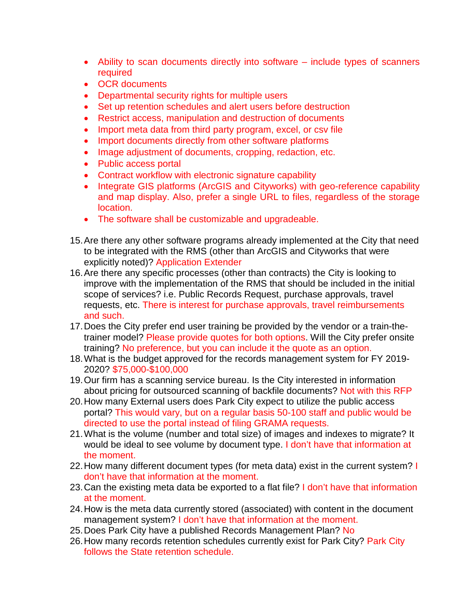- Ability to scan documents directly into software include types of scanners required
- OCR documents
- Departmental security rights for multiple users
- Set up retention schedules and alert users before destruction
- Restrict access, manipulation and destruction of documents
- Import meta data from third party program, excel, or csv file
- Import documents directly from other software platforms
- Image adjustment of documents, cropping, redaction, etc.
- Public access portal
- Contract workflow with electronic signature capability
- Integrate GIS platforms (ArcGIS and Cityworks) with geo-reference capability and map display. Also, prefer a single URL to files, regardless of the storage location.
- The software shall be customizable and upgradeable.
- 15.Are there any other software programs already implemented at the City that need to be integrated with the RMS (other than ArcGIS and Cityworks that were explicitly noted)? Application Extender
- 16.Are there any specific processes (other than contracts) the City is looking to improve with the implementation of the RMS that should be included in the initial scope of services? i.e. Public Records Request, purchase approvals, travel requests, etc. There is interest for purchase approvals, travel reimbursements and such.
- 17.Does the City prefer end user training be provided by the vendor or a train-thetrainer model? Please provide quotes for both options. Will the City prefer onsite training? No preference, but you can include it the quote as an option.
- 18.What is the budget approved for the records management system for FY 2019- 2020? \$75,000-\$100,000
- 19.Our firm has a scanning service bureau. Is the City interested in information about pricing for outsourced scanning of backfile documents? Not with this RFP
- 20.How many External users does Park City expect to utilize the public access portal? This would vary, but on a regular basis 50-100 staff and public would be directed to use the portal instead of filing GRAMA requests.
- 21.What is the volume (number and total size) of images and indexes to migrate? It would be ideal to see volume by document type. I don't have that information at the moment.
- 22. How many different document types (for meta data) exist in the current system? I don't have that information at the moment.
- 23.Can the existing meta data be exported to a flat file? I don't have that information at the moment.
- 24.How is the meta data currently stored (associated) with content in the document management system? I don't have that information at the moment.
- 25. Does Park City have a published Records Management Plan? No
- 26. How many records retention schedules currently exist for Park City? Park City follows the State retention schedule.